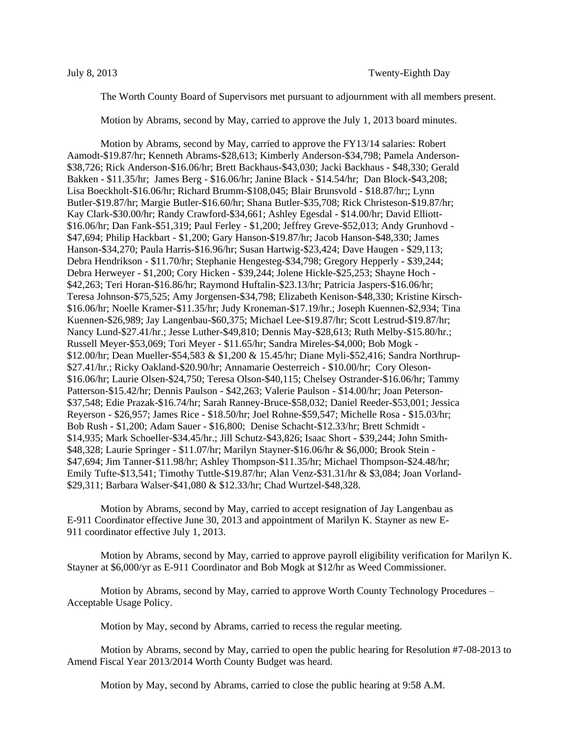The Worth County Board of Supervisors met pursuant to adjournment with all members present.

Motion by Abrams, second by May, carried to approve the July 1, 2013 board minutes.

Motion by Abrams, second by May, carried to approve the FY13/14 salaries: Robert Aamodt-\$19.87/hr; Kenneth Abrams-\$28,613; Kimberly Anderson-\$34,798; Pamela Anderson- \$38,726; Rick Anderson-\$16.06/hr; Brett Backhaus-\$43,030; Jacki Backhaus - \$48,330; Gerald Bakken - \$11.35/hr; James Berg - \$16.06/hr; Janine Black - \$14.54/hr; Dan Block-\$43,208; Lisa Boeckholt-\$16.06/hr; Richard Brumm-\$108,045; Blair Brunsvold - \$18.87/hr;; Lynn Butler-\$19.87/hr; Margie Butler-\$16.60/hr; Shana Butler-\$35,708; Rick Christeson-\$19.87/hr; Kay Clark-\$30.00/hr; Randy Crawford-\$34,661; Ashley Egesdal - \$14.00/hr; David Elliott- \$16.06/hr; Dan Fank-\$51,319; Paul Ferley - \$1,200; Jeffrey Greve-\$52,013; Andy Grunhovd - \$47,694; Philip Hackbart - \$1,200; Gary Hanson-\$19.87/hr; Jacob Hanson-\$48,330; James Hanson-\$34,270; Paula Harris-\$16.96/hr; Susan Hartwig-\$23,424; Dave Haugen - \$29,113; Debra Hendrikson - \$11.70/hr; Stephanie Hengesteg-\$34,798; Gregory Hepperly - \$39,244; Debra Herweyer - \$1,200; Cory Hicken - \$39,244; Jolene Hickle-\$25,253; Shayne Hoch - \$42,263; Teri Horan-\$16.86/hr; Raymond Huftalin-\$23.13/hr; Patricia Jaspers-\$16.06/hr; Teresa Johnson-\$75,525; Amy Jorgensen-\$34,798; Elizabeth Kenison-\$48,330; Kristine Kirsch- \$16.06/hr; Noelle Kramer-\$11.35/hr; Judy Kroneman-\$17.19/hr.; Joseph Kuennen-\$2,934; Tina Kuennen-\$26,989; Jay Langenbau-\$60,375; Michael Lee-\$19.87/hr; Scott Lestrud-\$19.87/hr; Nancy Lund-\$27.41/hr.; Jesse Luther-\$49,810; Dennis May-\$28,613; Ruth Melby-\$15.80/hr.; Russell Meyer-\$53,069; Tori Meyer - \$11.65/hr; Sandra Mireles-\$4,000; Bob Mogk - \$12.00/hr; Dean Mueller-\$54,583 & \$1,200 & 15.45/hr; Diane Myli-\$52,416; Sandra Northrup- \$27.41/hr.; Ricky Oakland-\$20.90/hr; Annamarie Oesterreich - \$10.00/hr; Cory Oleson- \$16.06/hr; Laurie Olsen-\$24,750; Teresa Olson-\$40,115; Chelsey Ostrander-\$16.06/hr; Tammy Patterson-\$15.42/hr; Dennis Paulson - \$42,263; Valerie Paulson - \$14.00/hr; Joan Peterson- \$37,548; Edie Prazak-\$16.74/hr; Sarah Ranney-Bruce-\$58,032; Daniel Reeder-\$53,001; Jessica Reyerson - \$26,957; James Rice - \$18.50/hr; Joel Rohne-\$59,547; Michelle Rosa - \$15.03/hr; Bob Rush - \$1,200; Adam Sauer - \$16,800; Denise Schacht-\$12.33/hr; Brett Schmidt - \$14,935; Mark Schoeller-\$34.45/hr.; Jill Schutz-\$43,826; Isaac Short - \$39,244; John Smith- \$48,328; Laurie Springer - \$11.07/hr; Marilyn Stayner-\$16.06/hr & \$6,000; Brook Stein - \$47,694; Jim Tanner-\$11.98/hr; Ashley Thompson-\$11.35/hr; Michael Thompson-\$24.48/hr; Emily Tufte-\$13,541; Timothy Tuttle-\$19.87/hr; Alan Venz-\$31.31/hr & \$3,084; Joan Vorland- \$29,311; Barbara Walser-\$41,080 & \$12.33/hr; Chad Wurtzel-\$48,328.

Motion by Abrams, second by May, carried to accept resignation of Jay Langenbau as E-911 Coordinator effective June 30, 2013 and appointment of Marilyn K. Stayner as new E-911 coordinator effective July 1, 2013.

Motion by Abrams, second by May, carried to approve payroll eligibility verification for Marilyn K. Stayner at \$6,000/yr as E-911 Coordinator and Bob Mogk at \$12/hr as Weed Commissioner.

Motion by Abrams, second by May, carried to approve Worth County Technology Procedures – Acceptable Usage Policy.

Motion by May, second by Abrams, carried to recess the regular meeting.

Motion by Abrams, second by May, carried to open the public hearing for Resolution #7-08-2013 to Amend Fiscal Year 2013/2014 Worth County Budget was heard.

Motion by May, second by Abrams, carried to close the public hearing at 9:58 A.M.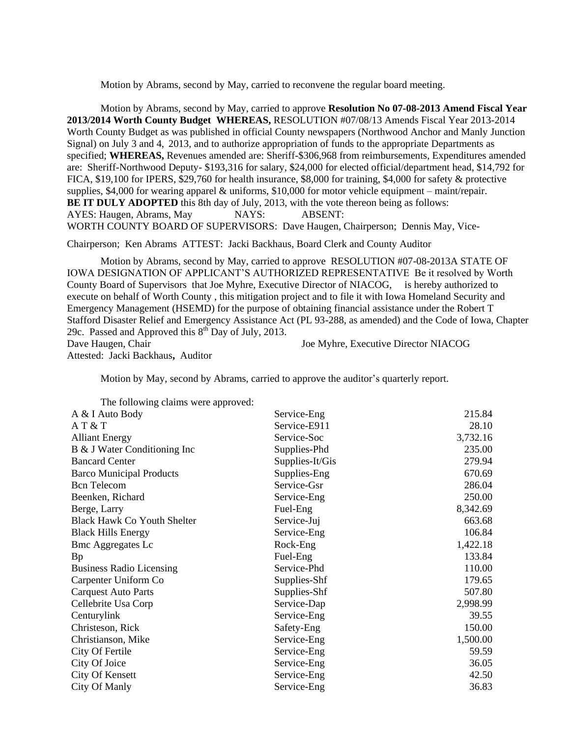Motion by Abrams, second by May, carried to reconvene the regular board meeting.

Motion by Abrams, second by May, carried to approve **Resolution No 07-08-2013 Amend Fiscal Year 2013/2014 Worth County Budget WHEREAS,** RESOLUTION #07/08/13 Amends Fiscal Year 2013-2014 Worth County Budget as was published in official County newspapers (Northwood Anchor and Manly Junction Signal) on July 3 and 4, 2013, and to authorize appropriation of funds to the appropriate Departments as specified; **WHEREAS,** Revenues amended are: Sheriff-\$306,968 from reimbursements, Expenditures amended are: Sheriff-Northwood Deputy- \$193,316 for salary, \$24,000 for elected official/department head, \$14,792 for FICA, \$19,100 for IPERS, \$29,760 for health insurance, \$8,000 for training, \$4,000 for safety & protective supplies, \$4,000 for wearing apparel & uniforms, \$10,000 for motor vehicle equipment – maint/repair. **BE IT DULY ADOPTED** this 8th day of July, 2013, with the vote thereon being as follows: AYES: Haugen, Abrams, May NAYS: ABSENT: WORTH COUNTY BOARD OF SUPERVISORS: Dave Haugen, Chairperson; Dennis May, Vice-

Chairperson; Ken Abrams ATTEST: Jacki Backhaus, Board Clerk and County Auditor

Motion by Abrams, second by May, carried to approve RESOLUTION #07-08-2013A STATE OF IOWA DESIGNATION OF APPLICANT'S AUTHORIZED REPRESENTATIVE Be it resolved by Worth County Board of Supervisors that Joe Myhre, Executive Director of NIACOG, is hereby authorized to execute on behalf of Worth County , this mitigation project and to file it with Iowa Homeland Security and Emergency Management (HSEMD) for the purpose of obtaining financial assistance under the Robert T Stafford Disaster Relief and Emergency Assistance Act (PL 93-288, as amended) and the Code of Iowa, Chapter 29c. Passed and Approved this  $8<sup>th</sup>$  Day of July, 2013. Dave Haugen, Chair Joe Myhre, Executive Director NIACOG

Attested: Jacki Backhaus**,** Auditor

Motion by May, second by Abrams, carried to approve the auditor's quarterly report.

The following claims were approved:

| A & I Auto Body                    | Service-Eng     | 215.84   |
|------------------------------------|-----------------|----------|
| AT & T                             | Service-E911    | 28.10    |
| <b>Alliant Energy</b>              | Service-Soc     | 3,732.16 |
| B & J Water Conditioning Inc       | Supplies-Phd    | 235.00   |
| <b>Bancard Center</b>              | Supplies-It/Gis | 279.94   |
| <b>Barco Municipal Products</b>    | Supplies-Eng    | 670.69   |
| <b>Bcn</b> Telecom                 | Service-Gsr     | 286.04   |
| Beenken, Richard                   | Service-Eng     | 250.00   |
| Berge, Larry                       | Fuel-Eng        | 8,342.69 |
| <b>Black Hawk Co Youth Shelter</b> | Service-Juj     | 663.68   |
| <b>Black Hills Energy</b>          | Service-Eng     | 106.84   |
| <b>Bmc Aggregates Lc</b>           | Rock-Eng        | 1,422.18 |
| Bp                                 | Fuel-Eng        | 133.84   |
| <b>Business Radio Licensing</b>    | Service-Phd     | 110.00   |
| Carpenter Uniform Co               | Supplies-Shf    | 179.65   |
| <b>Carquest Auto Parts</b>         | Supplies-Shf    | 507.80   |
| Cellebrite Usa Corp                | Service-Dap     | 2,998.99 |
| Centurylink                        | Service-Eng     | 39.55    |
| Christeson, Rick                   | Safety-Eng      | 150.00   |
| Christianson, Mike                 | Service-Eng     | 1,500.00 |
| City Of Fertile                    | Service-Eng     | 59.59    |
| City Of Joice                      | Service-Eng     | 36.05    |
| City Of Kensett                    | Service-Eng     | 42.50    |
| City Of Manly                      | Service-Eng     | 36.83    |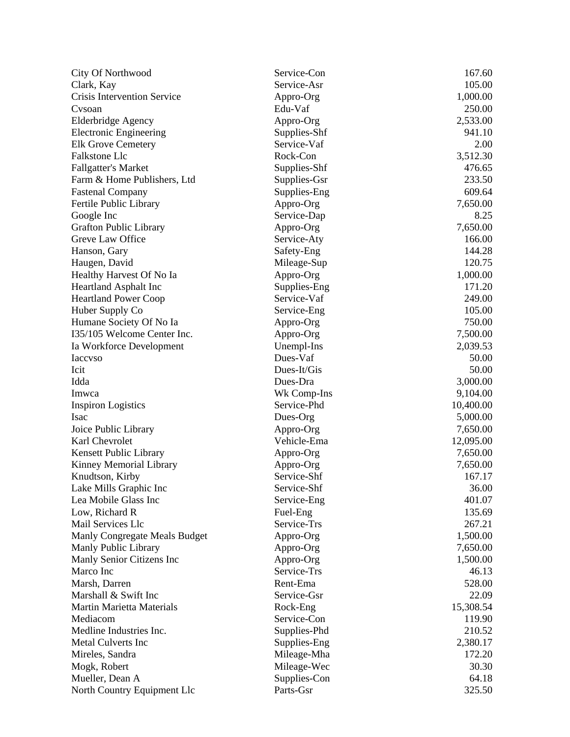| <b>City Of Northwood</b>                       | Service-Con             | 167.60    |
|------------------------------------------------|-------------------------|-----------|
| Clark, Kay                                     | Service-Asr             | 105.00    |
| <b>Crisis Intervention Service</b>             | Appro-Org               | 1,000.00  |
| Cysoan                                         | Edu-Vaf                 | 250.00    |
| Elderbridge Agency                             | Appro-Org               | 2,533.00  |
| <b>Electronic Engineering</b>                  | Supplies-Shf            | 941.10    |
| <b>Elk Grove Cemetery</b>                      | Service-Vaf             | 2.00      |
| Falkstone Llc                                  | Rock-Con                | 3,512.30  |
| <b>Fallgatter's Market</b>                     | Supplies-Shf            | 476.65    |
| Farm & Home Publishers, Ltd                    | Supplies-Gsr            | 233.50    |
| <b>Fastenal Company</b>                        | Supplies-Eng            | 609.64    |
| Fertile Public Library                         | Appro-Org               | 7,650.00  |
| Google Inc                                     | Service-Dap             | 8.25      |
| <b>Grafton Public Library</b>                  | Appro-Org               | 7,650.00  |
| Greve Law Office                               | Service-Aty             | 166.00    |
| Hanson, Gary                                   | Safety-Eng              | 144.28    |
| Haugen, David                                  | Mileage-Sup             | 120.75    |
| Healthy Harvest Of No Ia                       | Appro-Org               | 1,000.00  |
| Heartland Asphalt Inc                          | Supplies-Eng            | 171.20    |
| <b>Heartland Power Coop</b>                    | Service-Vaf             | 249.00    |
| Huber Supply Co                                | Service-Eng             | 105.00    |
| Humane Society Of No Ia                        | Appro-Org               | 750.00    |
| I35/105 Welcome Center Inc.                    | Appro-Org               | 7,500.00  |
| Ia Workforce Development                       | Unempl-Ins              | 2,039.53  |
| <b>Iaccyso</b>                                 | Dues-Vaf                | 50.00     |
| Icit                                           | Dues-It/Gis             | 50.00     |
| Idda                                           | Dues-Dra                | 3,000.00  |
| Imwca                                          | Wk Comp-Ins             | 9,104.00  |
| <b>Inspiron Logistics</b>                      | Service-Phd             | 10,400.00 |
| Isac                                           | Dues-Org                | 5,000.00  |
| Joice Public Library                           | Appro-Org               | 7,650.00  |
| Karl Chevrolet                                 | Vehicle-Ema             | 12,095.00 |
| Kensett Public Library                         | Appro-Org               | 7,650.00  |
| Kinney Memorial Library                        | Appro-Org               | 7,650.00  |
|                                                | Service-Shf             | 167.17    |
| Knudtson, Kirby                                | Service-Shf             | 36.00     |
| Lake Mills Graphic Inc<br>Lea Mobile Glass Inc |                         |           |
|                                                | Service-Eng             | 401.07    |
| Low, Richard R                                 | Fuel-Eng<br>Service-Trs | 135.69    |
| Mail Services Llc                              |                         | 267.21    |
| Manly Congregate Meals Budget                  | Appro-Org               | 1,500.00  |
| Manly Public Library                           | Appro-Org               | 7,650.00  |
| Manly Senior Citizens Inc                      | Appro-Org               | 1,500.00  |
| Marco Inc                                      | Service-Trs             | 46.13     |
| Marsh, Darren                                  | Rent-Ema                | 528.00    |
| Marshall & Swift Inc                           | Service-Gsr             | 22.09     |
| <b>Martin Marietta Materials</b>               | Rock-Eng                | 15,308.54 |
| Mediacom                                       | Service-Con             | 119.90    |
| Medline Industries Inc.                        | Supplies-Phd            | 210.52    |
| <b>Metal Culverts Inc</b>                      | Supplies-Eng            | 2,380.17  |
| Mireles, Sandra                                | Mileage-Mha             | 172.20    |
| Mogk, Robert                                   | Mileage-Wec             | 30.30     |
| Mueller, Dean A                                | Supplies-Con            | 64.18     |
| North Country Equipment Llc                    | Parts-Gsr               | 325.50    |